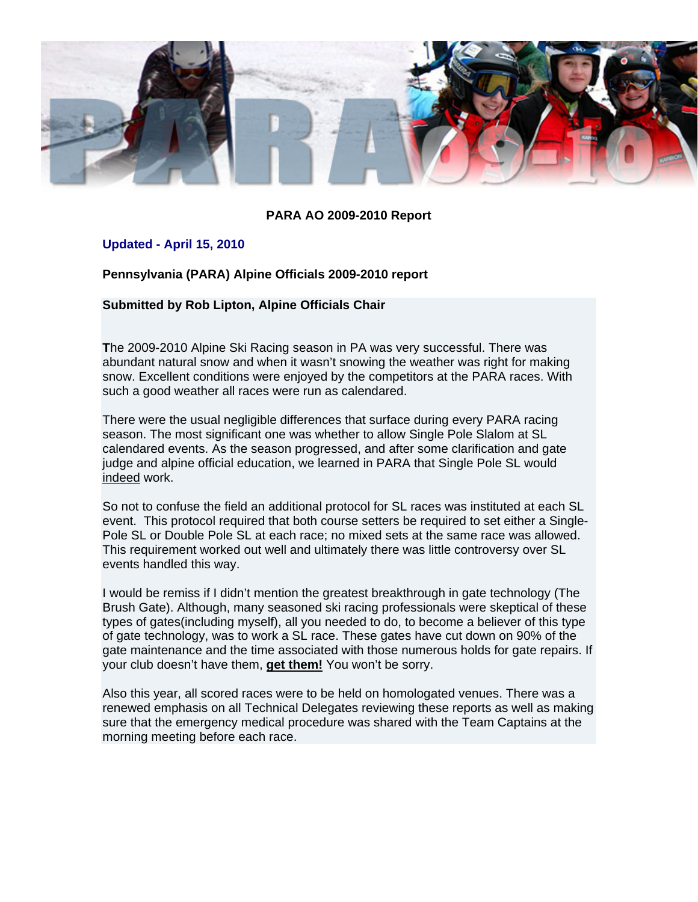

#### **PARA AO 2009-2010 Report**

#### **Updated - April 15, 2010**

**Pennsylvania (PARA) Alpine Officials 2009-2010 report** 

#### **Submitted by Rob Lipton, Alpine Officials Chair**

**T**he 2009-2010 Alpine Ski Racing season in PA was very successful. There was abundant natural snow and when it wasn't snowing the weather was right for making snow. Excellent conditions were enjoyed by the competitors at the PARA races. With such a good weather all races were run as calendared.

There were the usual negligible differences that surface during every PARA racing season. The most significant one was whether to allow Single Pole Slalom at SL calendared events. As the season progressed, and after some clarification and gate judge and alpine official education, we learned in PARA that Single Pole SL would indeed work.

So not to confuse the field an additional protocol for SL races was instituted at each SL event. This protocol required that both course setters be required to set either a Single-Pole SL or Double Pole SL at each race; no mixed sets at the same race was allowed. This requirement worked out well and ultimately there was little controversy over SL events handled this way.

I would be remiss if I didn't mention the greatest breakthrough in gate technology (The Brush Gate). Although, many seasoned ski racing professionals were skeptical of these types of gates(including myself), all you needed to do, to become a believer of this type of gate technology, was to work a SL race. These gates have cut down on 90% of the gate maintenance and the time associated with those numerous holds for gate repairs. If your club doesn't have them, **get them!** You won't be sorry.

Also this year, all scored races were to be held on homologated venues. There was a renewed emphasis on all Technical Delegates reviewing these reports as well as making sure that the emergency medical procedure was shared with the Team Captains at the morning meeting before each race.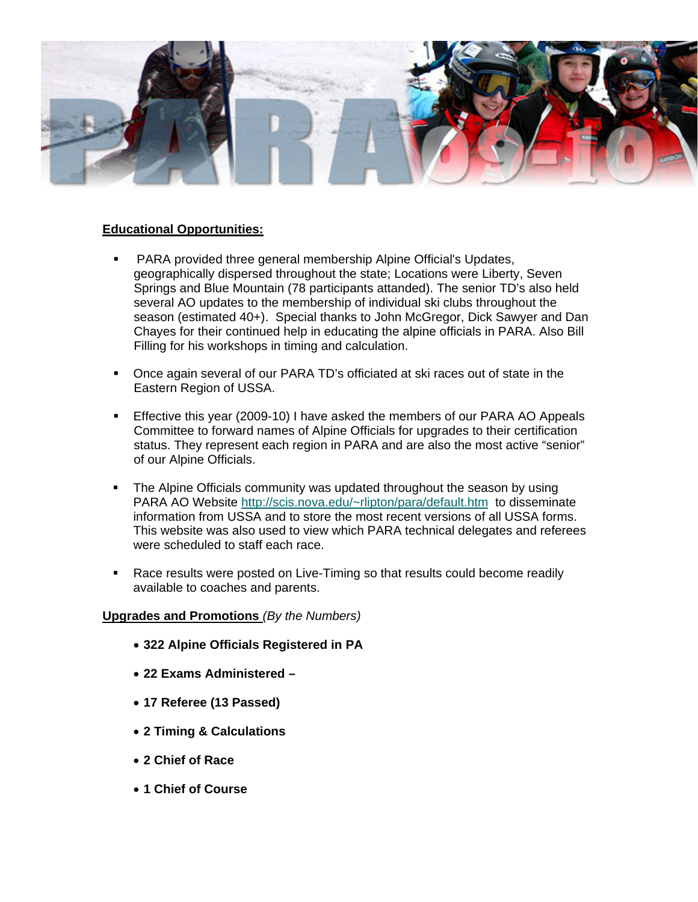

#### **Educational Opportunities:**

- PARA provided three general membership Alpine Official's Updates, geographically dispersed throughout the state; Locations were Liberty, Seven Springs and Blue Mountain (78 participants attanded). The senior TD's also held several AO updates to the membership of individual ski clubs throughout the season (estimated 40+). Special thanks to John McGregor, Dick Sawyer and Dan Chayes for their continued help in educating the alpine officials in PARA. Also Bill Filling for his workshops in timing and calculation.
- Once again several of our PARA TD's officiated at ski races out of state in the Eastern Region of USSA.
- Effective this year (2009-10) I have asked the members of our PARA AO Appeals Committee to forward names of Alpine Officials for upgrades to their certification status. They represent each region in PARA and are also the most active "senior" of our Alpine Officials.
- The Alpine Officials community was updated throughout the season by using PARA AO Website http://scis.nova.edu/~rlipton/para/default.htm to disseminate information from USSA and to store the most recent versions of all USSA forms. This website was also used to view which PARA technical delegates and referees were scheduled to staff each race.
- Race results were posted on Live-Timing so that results could become readily available to coaches and parents.

#### **Upgrades and Promotions** *(By the Numbers)*

- **322 Alpine Officials Registered in PA**
- **22 Exams Administered**
- **17 Referee (13 Passed)**
- **2 Timing & Calculations**
- **2 Chief of Race**
- **1 Chief of Course**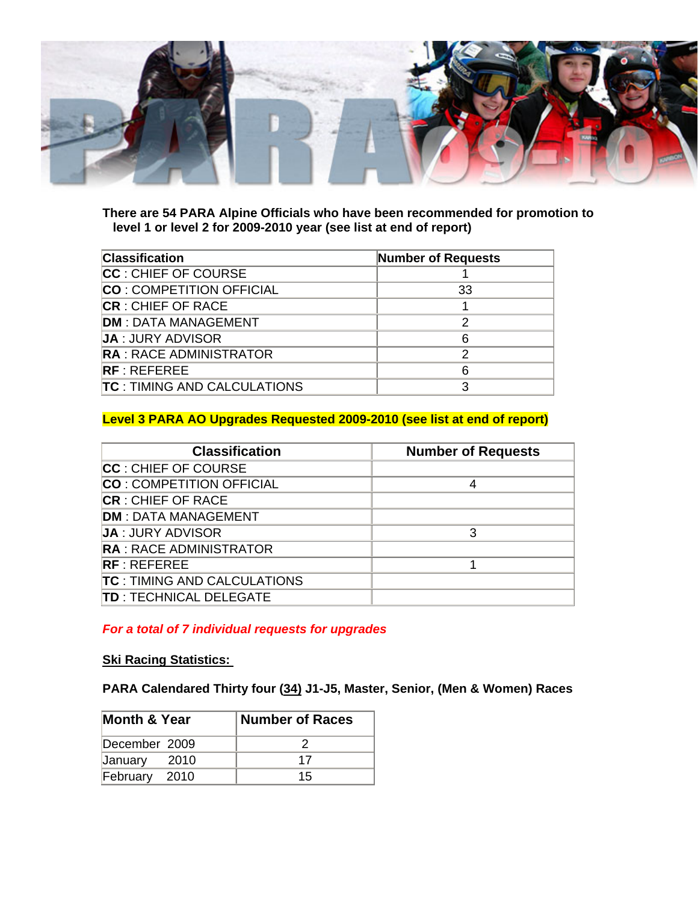

**There are 54 PARA Alpine Officials who have been recommended for promotion to level 1 or level 2 for 2009-2010 year (see list at end of report)** 

| <b>Classification</b>              | <b>Number of Requests</b> |
|------------------------------------|---------------------------|
| CC : CHIEF OF COURSE               |                           |
| <b>CO: COMPETITION OFFICIAL</b>    | 33                        |
| <b>CR</b> : CHIEF OF RACE          |                           |
| <b>DM: DATA MANAGEMENT</b>         | 2                         |
| <b>JA: JURY ADVISOR</b>            | 6                         |
| <b>RA: RACE ADMINISTRATOR</b>      | 2                         |
| RF:REFEREE                         | 6                         |
| <b>TC: TIMING AND CALCULATIONS</b> |                           |

## **Level 3 PARA AO Upgrades Requested 2009-2010 (see list at end of report)**

| <b>Classification</b>               | <b>Number of Requests</b> |
|-------------------------------------|---------------------------|
| CC: CHIEF OF COURSE                 |                           |
| <b>CO: COMPETITION OFFICIAL</b>     | 4                         |
| <b>CR</b> : CHIEF OF RACE           |                           |
| <b>DM: DATA MANAGEMENT</b>          |                           |
| <b>JA: JURY ADVISOR</b>             | 3                         |
| <b>RA: RACE ADMINISTRATOR</b>       |                           |
| $RF \cdot RFFFRFF$                  |                           |
| <b>TC</b> : TIMING AND CALCULATIONS |                           |
| <b>TD: TECHNICAL DELEGATE</b>       |                           |

*For a total of 7 individual requests for upgrades*

### **Ski Racing Statistics:**

**PARA Calendared Thirty four (34) J1-J5, Master, Senior, (Men & Women) Races** 

| <b>Month &amp; Year</b> |        | <b>Number of Races</b> |  |  |  |  |  |  |
|-------------------------|--------|------------------------|--|--|--|--|--|--|
| December 2009           |        |                        |  |  |  |  |  |  |
| January                 | - 2010 | 17                     |  |  |  |  |  |  |
| February                | 2010   | 15                     |  |  |  |  |  |  |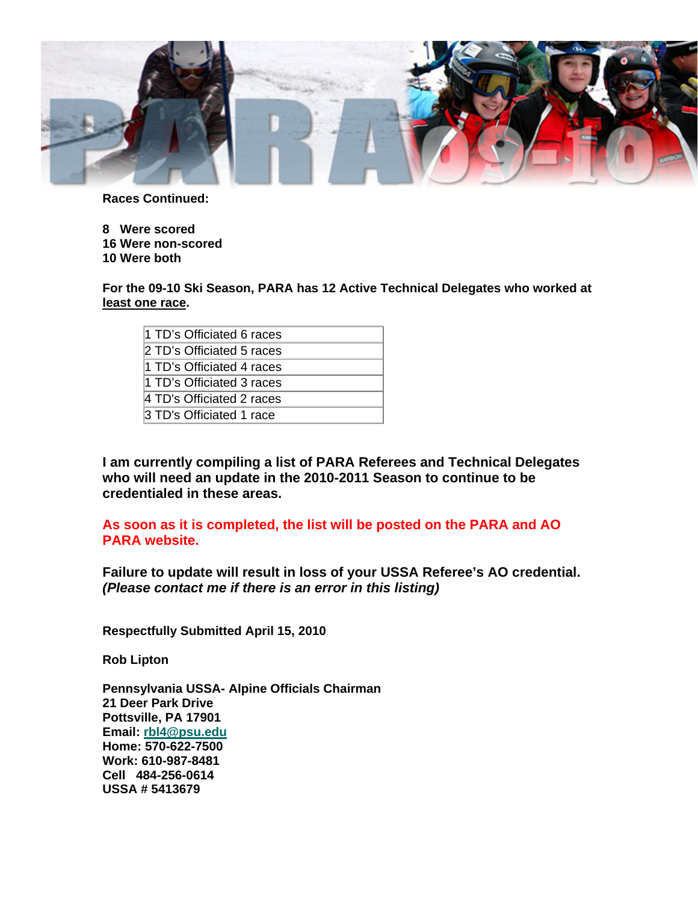

**Races Continued:** 

**8 Were scored 16 Were non-scored 10 Were both** 

**For the 09-10 Ski Season, PARA has 12 Active Technical Delegates who worked at least one race.** 

| 11 TD's Officiated 6 races |
|----------------------------|
| 2 TD's Officiated 5 races  |
| 11 TD's Officiated 4 races |
| 11 TD's Officiated 3 races |
| 4 TD's Officiated 2 races  |
| 3 TD's Officiated 1 race   |

**I am currently compiling a list of PARA Referees and Technical Delegates who will need an update in the 2010-2011 Season to continue to be credentialed in these areas.** 

**As soon as it is completed, the list will be posted on the PARA and AO PARA website.**

**Failure to update will result in loss of your USSA Referee's AO credential.** *(Please contact me if there is an error in this listing)* 

**Respectfully Submitted April 15, 2010**

**Rob Lipton** 

**Pennsylvania USSA- Alpine Officials Chairman 21 Deer Park Drive Pottsville, PA 17901 Email: rbl4@psu.edu Home: 570-622-7500 Work: 610-987-8481 Cell 484-256-0614 USSA # 5413679**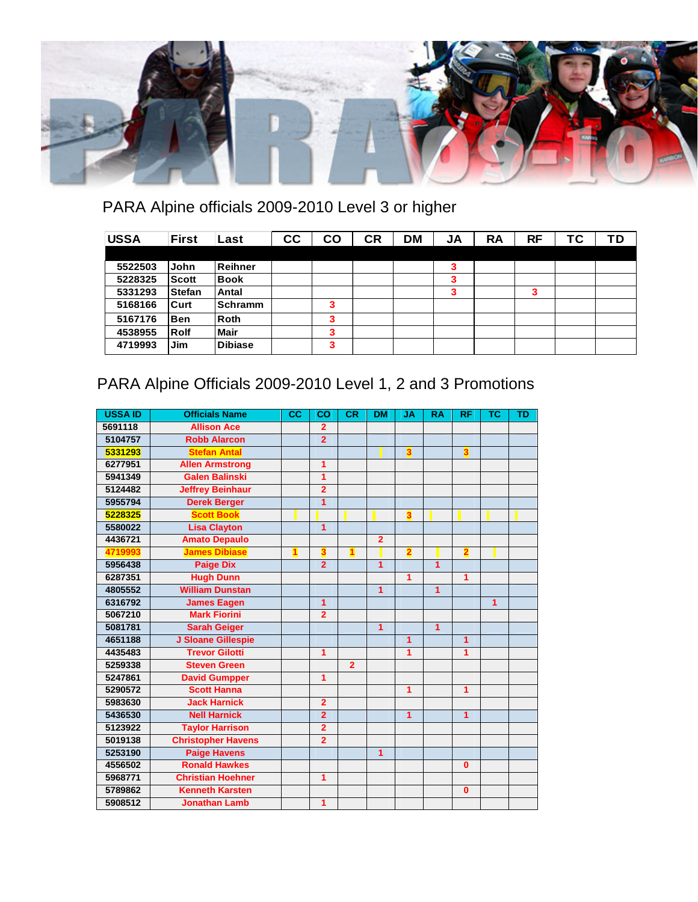

# PARA Alpine officials 2009-2010 Level 3 or higher

| <b>USSA</b> | <b>First</b>  | Last           | cc | CO | <b>CR</b> | <b>DM</b> | JA | <b>RA</b> | RF | ТC | ΤD |
|-------------|---------------|----------------|----|----|-----------|-----------|----|-----------|----|----|----|
|             |               |                |    |    |           |           |    |           |    |    |    |
| 5522503     | John          | Reihner        |    |    |           |           | 3  |           |    |    |    |
| 5228325     | <b>Scott</b>  | <b>Book</b>    |    |    |           |           | ິ  |           |    |    |    |
| 5331293     | <b>Stefan</b> | Antal          |    |    |           |           | 3  |           | 3  |    |    |
| 5168166     | Curt          | <b>Schramm</b> |    | 3  |           |           |    |           |    |    |    |
| 5167176     | <b>Ben</b>    | Roth           |    | 3  |           |           |    |           |    |    |    |
| 4538955     | Rolf          | <b>Mair</b>    |    | 3  |           |           |    |           |    |    |    |
| 4719993     | Jim           | <b>Dibiase</b> |    | 3  |           |           |    |           |    |    |    |

## PARA Alpine Officials 2009-2010 Level 1, 2 and 3 Promotions

| <b>USSA ID</b> | <b>Officials Name</b>     | cc                      | co                      | <b>CR</b>      | <b>DM</b>      | <b>JA</b> | <b>RA</b>      | <b>RF</b>               | <b>TC</b> | <b>TD</b> |
|----------------|---------------------------|-------------------------|-------------------------|----------------|----------------|-----------|----------------|-------------------------|-----------|-----------|
| 5691118        | <b>Allison Ace</b>        |                         | $\overline{2}$          |                |                |           |                |                         |           |           |
| 5104757        | <b>Robb Alarcon</b>       |                         | $\overline{2}$          |                |                |           |                |                         |           |           |
| 5331293        | <b>Stefan Antal</b>       |                         |                         |                |                | 3         |                | $\overline{\mathbf{3}}$ |           |           |
| 6277951        | <b>Allen Armstrong</b>    |                         | 1                       |                |                |           |                |                         |           |           |
| 5941349        | <b>Galen Balinski</b>     |                         | $\overline{1}$          |                |                |           |                |                         |           |           |
| 5124482        | <b>Jeffrey Beinhaur</b>   |                         | $\overline{2}$          |                |                |           |                |                         |           |           |
| 5955794        | <b>Derek Berger</b>       |                         | 1                       |                |                |           |                |                         |           |           |
| 5228325        | <b>Scott Book</b>         |                         |                         |                |                | 3         |                |                         |           |           |
| 5580022        | <b>Lisa Clayton</b>       |                         | 1                       |                |                |           |                |                         |           |           |
| 4436721        | <b>Amato Depaulo</b>      |                         |                         |                | $\overline{2}$ |           |                |                         |           |           |
| 4719993        | <b>James Dibiase</b>      | $\overline{\mathbf{1}}$ | 3                       | 1              |                | 2         |                | $\overline{\mathbf{2}}$ |           |           |
| 5956438        | <b>Paige Dix</b>          |                         | $\overline{2}$          |                | 1              |           | 1              |                         |           |           |
| 6287351        | <b>Hugh Dunn</b>          |                         |                         |                |                | 1         |                | $\overline{1}$          |           |           |
| 4805552        | <b>William Dunstan</b>    |                         |                         |                | $\overline{1}$ |           | $\overline{1}$ |                         |           |           |
| 6316792        | <b>James Eagen</b>        |                         | 1                       |                |                |           |                |                         | 1         |           |
| 5067210        | <b>Mark Fiorini</b>       |                         | $\overline{2}$          |                |                |           |                |                         |           |           |
| 5081781        | <b>Sarah Geiger</b>       |                         |                         |                | $\overline{1}$ |           | $\overline{1}$ |                         |           |           |
| 4651188        | J Sloane Gillespie        |                         |                         |                |                | 1         |                | 1                       |           |           |
| 4435483        | <b>Trevor Gilotti</b>     |                         | 1                       |                |                | 1         |                | 1                       |           |           |
| 5259338        | <b>Steven Green</b>       |                         |                         | $\overline{2}$ |                |           |                |                         |           |           |
| 5247861        | <b>David Gumpper</b>      |                         | 1                       |                |                |           |                |                         |           |           |
| 5290572        | <b>Scott Hanna</b>        |                         |                         |                |                | 1         |                | 1                       |           |           |
| 5983630        | <b>Jack Harnick</b>       |                         | $\overline{\mathbf{2}}$ |                |                |           |                |                         |           |           |
| 5436530        | <b>Nell Harnick</b>       |                         | $\overline{2}$          |                |                | 1         |                | 1                       |           |           |
| 5123922        | <b>Taylor Harrison</b>    |                         | $\overline{2}$          |                |                |           |                |                         |           |           |
| 5019138        | <b>Christopher Havens</b> |                         | $\overline{\mathbf{2}}$ |                |                |           |                |                         |           |           |
| 5253190        | <b>Paige Havens</b>       |                         |                         |                | 1              |           |                |                         |           |           |
| 4556502        | <b>Ronald Hawkes</b>      |                         |                         |                |                |           |                | $\bf{0}$                |           |           |
| 5968771        | <b>Christian Hoehner</b>  |                         | 1                       |                |                |           |                |                         |           |           |
| 5789862        | <b>Kenneth Karsten</b>    |                         |                         |                |                |           |                | $\mathbf{0}$            |           |           |
| 5908512        | <b>Jonathan Lamb</b>      |                         | 1                       |                |                |           |                |                         |           |           |